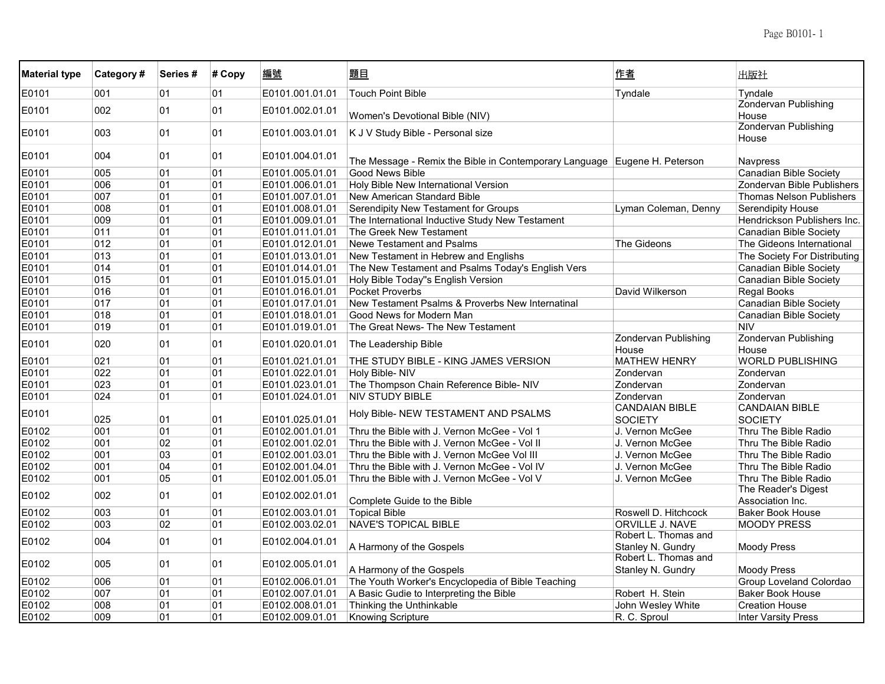| <b>Material type</b> | Category# | Series# | # Copy | 編號              | 題目                                                                        | 作者                                        | 出版社                                     |
|----------------------|-----------|---------|--------|-----------------|---------------------------------------------------------------------------|-------------------------------------------|-----------------------------------------|
| E0101                | 001       | 01      | 01     | E0101.001.01.01 | <b>Touch Point Bible</b>                                                  | Tyndale                                   | Tyndale                                 |
| E0101                | 002       | 01      | 01     | E0101.002.01.01 |                                                                           |                                           | Zondervan Publishing                    |
|                      |           |         |        |                 | Women's Devotional Bible (NIV)                                            |                                           | House                                   |
| E0101                | 003       | 01      | 01     | E0101.003.01.01 | K J V Study Bible - Personal size                                         |                                           | <b>Zondervan Publishing</b><br>House    |
| E0101                | 004       | 01      | 01     | E0101.004.01.01 | The Message - Remix the Bible in Contemporary Language Eugene H. Peterson |                                           | Navpress                                |
| E0101                | 005       | 01      | 01     | E0101.005.01.01 | <b>Good News Bible</b>                                                    |                                           | <b>Canadian Bible Society</b>           |
| E0101                | 006       | 01      | 01     | E0101.006.01.01 | Holy Bible New International Version                                      |                                           | Zondervan Bible Publishers              |
| E0101                | 007       | 01      | 01     | E0101.007.01.01 | New American Standard Bible                                               |                                           | <b>Thomas Nelson Publishers</b>         |
| E0101                | 008       | 01      | 01     | E0101.008.01.01 | Serendipity New Testament for Groups                                      | Lyman Coleman, Denny                      | <b>Serendipity House</b>                |
| E0101                | 009       | 01      | 01     | E0101.009.01.01 | The International Inductive Study New Testament                           |                                           | Hendrickson Publishers Inc.             |
| E0101                | 011       | 01      | 01     | E0101.011.01.01 | The Greek New Testament                                                   |                                           | Canadian Bible Society                  |
| E0101                | 012       | 01      | 01     | E0101.012.01.01 | Newe Testament and Psalms                                                 | The Gideons                               | The Gideons International               |
| E0101                | 013       | 01      | 01     | E0101.013.01.01 | New Testament in Hebrew and Englishs                                      |                                           | The Society For Distributing            |
| E0101                | 014       | 01      | 01     | E0101.014.01.01 | The New Testament and Psalms Today's English Vers                         |                                           | Canadian Bible Society                  |
| E0101                | 015       | 01      | 01     | E0101.015.01.01 | Holy Bible Today"s English Version                                        |                                           | Canadian Bible Society                  |
| E0101                | 016       | 01      | 01     | E0101.016.01.01 | <b>Pocket Proverbs</b>                                                    | David Wilkerson                           | <b>Regal Books</b>                      |
| E0101                | 017       | 01      | 01     | E0101.017.01.01 | New Testament Psalms & Proverbs New Internatinal                          |                                           | <b>Canadian Bible Society</b>           |
| E0101                | 018       | 01      | 01     | E0101.018.01.01 | Good News for Modern Man                                                  |                                           | Canadian Bible Society                  |
| E0101                | 019       | 01      | 01     | E0101.019.01.01 | The Great News- The New Testament                                         |                                           | <b>NIV</b>                              |
| E0101                | 020       | 01      | 01     | E0101.020.01.01 | The Leadership Bible                                                      | <b>Zondervan Publishing</b><br>House      | Zondervan Publishing<br>House           |
| E0101                | 021       | 01      | 01     | E0101.021.01.01 | THE STUDY BIBLE - KING JAMES VERSION                                      | <b>MATHEW HENRY</b>                       | <b>WORLD PUBLISHING</b>                 |
| E0101                | 022       | 01      | 01     | E0101.022.01.01 | Holy Bible-NIV                                                            | Zondervan                                 | Zondervan                               |
| E0101                | 023       | 01      | 01     | E0101.023.01.01 | The Thompson Chain Reference Bible- NIV                                   | Zondervan                                 | Zondervan                               |
| E0101                | 024       | 01      | 01     | E0101.024.01.01 | <b>NIV STUDY BIBLE</b>                                                    | Zondervan                                 | Zondervan                               |
| E0101                | 025       | 01      | 01     | E0101.025.01.01 | Holy Bible- NEW TESTAMENT AND PSALMS                                      | <b>CANDAIAN BIBLE</b><br><b>SOCIETY</b>   | <b>CANDAIAN BIBLE</b><br>SOCIETY        |
| E0102                | 001       | 01      | 01     | E0102.001.01.01 | Thru the Bible with J. Vernon McGee - Vol 1                               | J. Vernon McGee                           | Thru The Bible Radio                    |
| E0102                | 001       | 02      | 01     | E0102.001.02.01 | Thru the Bible with J. Vernon McGee - Vol II                              | J. Vernon McGee                           | Thru The Bible Radio                    |
| E0102                | 001       | 03      | 01     | E0102.001.03.01 | Thru the Bible with J. Vernon McGee Vol III                               | J. Vernon McGee                           | Thru The Bible Radio                    |
| E0102                | 001       | 04      | 01     | E0102.001.04.01 | Thru the Bible with J. Vernon McGee - Vol IV                              | J. Vernon McGee                           | Thru The Bible Radio                    |
| E0102                | 001       | 05      | 01     | E0102.001.05.01 | Thru the Bible with J. Vernon McGee - Vol V                               | J. Vernon McGee                           | Thru The Bible Radio                    |
| E0102                | 002       | 01      | 01     | E0102.002.01.01 | Complete Guide to the Bible                                               |                                           | The Reader's Digest<br>Association Inc. |
| E0102                | 003       | 01      | 01     | E0102.003.01.01 | <b>Topical Bible</b>                                                      | Roswell D. Hitchcock                      | <b>Baker Book House</b>                 |
| E0102                | 003       | 02      | 01     | E0102.003.02.01 | <b>NAVE'S TOPICAL BIBLE</b>                                               | ORVILLE J. NAVE                           | <b>MOODY PRESS</b>                      |
|                      |           |         |        |                 |                                                                           | Robert L. Thomas and                      |                                         |
| E0102                | 004       | 01      | 01     | E0102.004.01.01 | A Harmony of the Gospels                                                  | Stanley N. Gundry                         | <b>Moody Press</b>                      |
| E0102                | 005       | 01      | 01     | E0102.005.01.01 | A Harmony of the Gospels                                                  | Robert L. Thomas and<br>Stanley N. Gundry | <b>Moody Press</b>                      |
| E0102                | 006       | 01      | 01     | E0102.006.01.01 | The Youth Worker's Encyclopedia of Bible Teaching                         |                                           | Group Loveland Colordao                 |
| E0102                | 007       | 01      | 01     | E0102.007.01.01 | A Basic Gudie to Interpreting the Bible                                   | Robert H. Stein                           | <b>Baker Book House</b>                 |
| E0102                | 008       | 01      | 01     | E0102.008.01.01 | Thinking the Unthinkable                                                  | John Wesley White                         | <b>Creation House</b>                   |
| E0102                | 009       | 01      | 01     | E0102.009.01.01 | <b>Knowing Scripture</b>                                                  | R. C. Sproul                              | <b>Inter Varsity Press</b>              |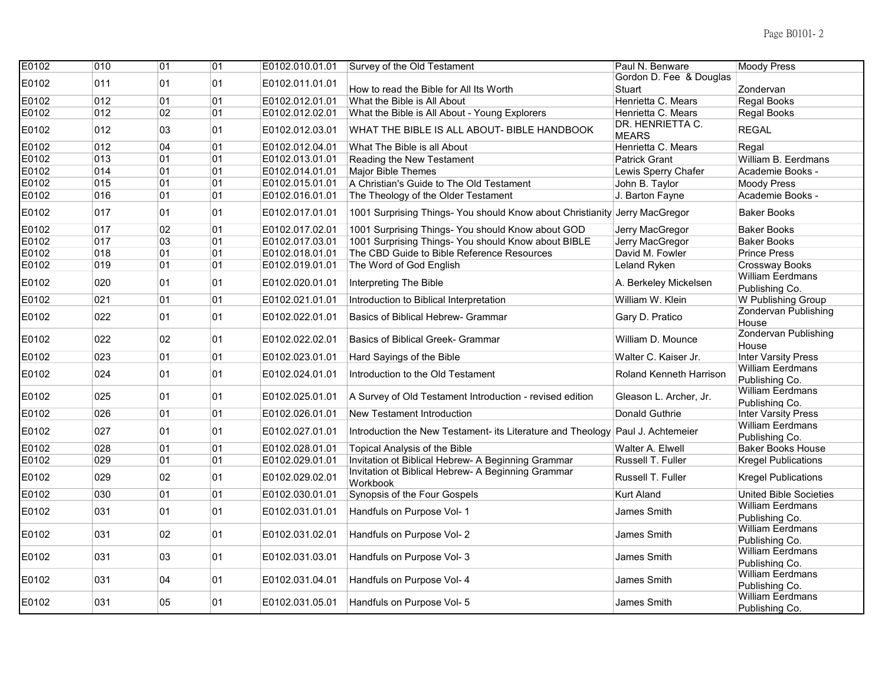| E0102 | 010 | 01 | $\overline{01}$ | E0102.010.01.01 | Survey of the Old Testament                                                    | Paul N. Benware                  | <b>Moody Press</b>                        |
|-------|-----|----|-----------------|-----------------|--------------------------------------------------------------------------------|----------------------------------|-------------------------------------------|
| E0102 | 011 | 01 | 01              | E0102.011.01.01 |                                                                                | Gordon D. Fee & Douglas          |                                           |
|       |     |    |                 |                 | How to read the Bible for All Its Worth                                        | Stuart                           | Zondervan                                 |
| E0102 | 012 | 01 | 01              | E0102.012.01.01 | What the Bible is All About                                                    | Henrietta C. Mears               | Regal Books                               |
| E0102 | 012 | 02 | 01              | E0102.012.02.01 | What the Bible is All About - Young Explorers                                  | Henrietta C. Mears               | Regal Books                               |
| E0102 | 012 | 03 | 01              | E0102.012.03.01 | WHAT THE BIBLE IS ALL ABOUT- BIBLE HANDBOOK                                    | DR. HENRIETTA C.<br><b>MEARS</b> | <b>REGAL</b>                              |
| E0102 | 012 | 04 | 01              | E0102.012.04.01 | What The Bible is all About                                                    | Henrietta C. Mears               | Regal                                     |
| E0102 | 013 | 01 | 01              | E0102.013.01.01 | Reading the New Testament                                                      | <b>Patrick Grant</b>             | William B. Eerdmans                       |
| E0102 | 014 | 01 | 01              | E0102.014.01.01 | Major Bible Themes                                                             | Lewis Sperry Chafer              | Academie Books -                          |
| E0102 | 015 | 01 | 01              | E0102.015.01.01 | A Christian's Guide to The Old Testament                                       | John B. Taylor                   | <b>Moody Press</b>                        |
| E0102 | 016 | 01 | 01              | E0102.016.01.01 | The Theology of the Older Testament                                            | J. Barton Fayne                  | Academie Books -                          |
| E0102 | 017 | 01 | 01              | E0102.017.01.01 | 1001 Surprising Things- You should Know about Christianity Jerry MacGregor     |                                  | <b>Baker Books</b>                        |
| E0102 | 017 | 02 | 01              | E0102.017.02.01 | 1001 Surprising Things- You should Know about GOD                              | Jerry MacGregor                  | <b>Baker Books</b>                        |
| E0102 | 017 | 03 | 01              | E0102.017.03.01 | 1001 Surprising Things- You should Know about BIBLE                            | Jerry MacGregor                  | <b>Baker Books</b>                        |
| E0102 | 018 | 01 | 01              | E0102.018.01.01 | The CBD Guide to Bible Reference Resources                                     | David M. Fowler                  | <b>Prince Press</b>                       |
| E0102 | 019 | 01 | 01              | E0102.019.01.01 | The Word of God English                                                        | Leland Ryken                     | Crossway Books                            |
| E0102 | 020 | 01 | 01              | E0102.020.01.01 | Interpreting The Bible                                                         | A. Berkeley Mickelsen            | <b>William Eerdmans</b><br>Publishing Co. |
| E0102 | 021 | 01 | 01              | E0102.021.01.01 | Introduction to Biblical Interpretation                                        | William W. Klein                 | W Publishing Group                        |
| E0102 | 022 | 01 | 01              | E0102.022.01.01 | Basics of Biblical Hebrew- Grammar                                             | Gary D. Pratico                  | <b>Zondervan Publishing</b><br>House      |
| E0102 | 022 | 02 | 01              | E0102.022.02.01 | <b>Basics of Biblical Greek- Grammar</b>                                       | William D. Mounce                | <b>Zondervan Publishing</b><br>House      |
| E0102 | 023 | 01 | 01              | E0102.023.01.01 | Hard Sayings of the Bible                                                      | Walter C. Kaiser Jr.             | <b>Inter Varsity Press</b>                |
| E0102 | 024 | 01 | 01              | E0102.024.01.01 | Introduction to the Old Testament                                              | Roland Kenneth Harrison          | William Eerdmans<br>Publishing Co.        |
| E0102 | 025 | 01 | 01              | E0102.025.01.01 | A Survey of Old Testament Introduction - revised edition                       | Gleason L. Archer, Jr.           | <b>William Eerdmans</b><br>Publishing Co. |
| E0102 | 026 | 01 | 01              | E0102.026.01.01 | <b>New Testament Introduction</b>                                              | Donald Guthrie                   | <b>Inter Varsity Press</b>                |
| E0102 | 027 | 01 | 01              | E0102.027.01.01 | Introduction the New Testament- its Literature and Theology Paul J. Achtemeier |                                  | <b>William Eerdmans</b><br>Publishing Co. |
| E0102 | 028 | 01 | 01              | E0102.028.01.01 | Topical Analysis of the Bible                                                  | Walter A. Elwell                 | <b>Baker Books House</b>                  |
| E0102 | 029 | 01 | 01              | E0102.029.01.01 | Invitation ot Biblical Hebrew- A Beginning Grammar                             | Russell T. Fuller                | <b>Kregel Publications</b>                |
| E0102 | 029 | 02 | 01              | E0102.029.02.01 | Invitation ot Biblical Hebrew- A Beginning Grammar<br>Workbook                 | Russell T. Fuller                | <b>Kregel Publications</b>                |
| E0102 | 030 | 01 | 01              | E0102.030.01.01 | Synopsis of the Four Gospels                                                   | <b>Kurt Aland</b>                | <b>United Bible Societies</b>             |
| E0102 | 031 | 01 | 01              | E0102.031.01.01 | Handfuls on Purpose Vol- 1                                                     | James Smith                      | <b>William Eerdmans</b><br>Publishing Co. |
| E0102 | 031 | 02 | 01              | E0102.031.02.01 | Handfuls on Purpose Vol- 2                                                     | James Smith                      | <b>William Eerdmans</b><br>Publishing Co. |
| E0102 | 031 | 03 | 01              | E0102.031.03.01 | Handfuls on Purpose Vol- 3                                                     | James Smith                      | <b>William Eerdmans</b><br>Publishing Co. |
| E0102 | 031 | 04 | 01              | E0102.031.04.01 | Handfuls on Purpose Vol- 4                                                     | James Smith                      | <b>William Eerdmans</b><br>Publishing Co. |
|       |     |    |                 |                 |                                                                                |                                  | <b>William Eerdmans</b>                   |
| E0102 | 031 | 05 | 01              | E0102.031.05.01 | Handfuls on Purpose Vol- 5                                                     | <b>James Smith</b>               | Publishing Co.                            |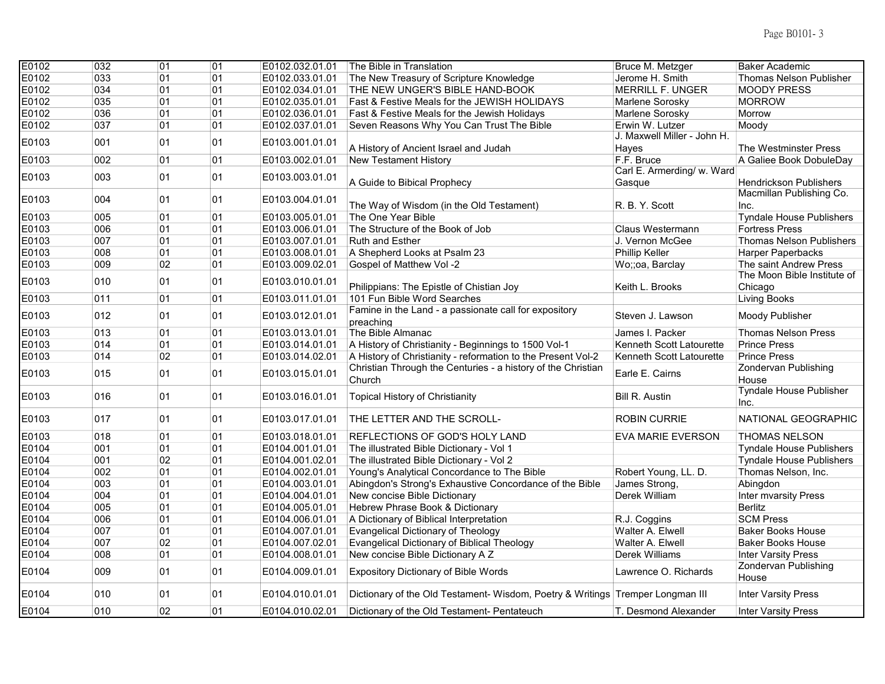| E0102 | 032 | 01 | $\overline{01}$ | E0102.032.01.01 | The Bible in Translation                                                       | Bruce M. Metzger            | Baker Academic                         |
|-------|-----|----|-----------------|-----------------|--------------------------------------------------------------------------------|-----------------------------|----------------------------------------|
| E0102 | 033 | 01 | 01              | E0102.033.01.01 | The New Treasury of Scripture Knowledge                                        | Jerome H. Smith             | <b>Thomas Nelson Publisher</b>         |
| E0102 | 034 | 01 | 01              | E0102.034.01.01 | THE NEW UNGER'S BIBLE HAND-BOOK                                                | <b>MERRILL F. UNGER</b>     | <b>MOODY PRESS</b>                     |
| E0102 | 035 | 01 | 01              | E0102.035.01.01 | <b>Fast &amp; Festive Meals for the JEWISH HOLIDAYS</b>                        | Marlene Sorosky             | <b>MORROW</b>                          |
| E0102 | 036 | 01 | 01              | E0102.036.01.01 | Fast & Festive Meals for the Jewish Holidays                                   | Marlene Sorosky             | Morrow                                 |
| E0102 | 037 | 01 | 01              | E0102.037.01.01 | Seven Reasons Why You Can Trust The Bible                                      | Erwin W. Lutzer             | Moody                                  |
| E0103 | 001 | 01 | 01              | E0103.001.01.01 |                                                                                | J. Maxwell Miller - John H. |                                        |
|       |     |    |                 |                 | A History of Ancient Israel and Judah                                          | Hayes                       | The Westminster Press                  |
| E0103 | 002 | 01 | 01              | E0103.002.01.01 | <b>New Testament History</b>                                                   | F.F. Bruce                  | A Galiee Book DobuleDay                |
| E0103 | 003 | 01 | 01              | E0103.003.01.01 |                                                                                | Carl E. Armerding/ w. Ward  |                                        |
|       |     |    |                 |                 | A Guide to Bibical Prophecy                                                    | Gasque                      | <b>Hendrickson Publishers</b>          |
| E0103 | 004 | 01 | 01              | E0103.004.01.01 |                                                                                |                             | Macmillan Publishing Co.               |
|       |     |    |                 |                 | The Way of Wisdom (in the Old Testament)                                       | R. B. Y. Scott              | Inc.                                   |
| E0103 | 005 | 01 | 01              | E0103.005.01.01 | The One Year Bible                                                             |                             | <b>Tyndale House Publishers</b>        |
| E0103 | 006 | 01 | 01              | E0103.006.01.01 | The Structure of the Book of Job                                               | Claus Westermann            | <b>Fortress Press</b>                  |
| E0103 | 007 | 01 | 01              | E0103.007.01.01 | <b>Ruth and Esther</b>                                                         | J. Vernon McGee             | <b>Thomas Nelson Publishers</b>        |
| E0103 | 008 | 01 | 01              | E0103.008.01.01 | A Shepherd Looks at Psalm 23                                                   | Phillip Keller              | <b>Harper Paperbacks</b>               |
| E0103 | 009 | 02 | 01              | E0103.009.02.01 | Gospel of Matthew Vol -2                                                       | Wo;;oa, Barclay             | The saint Andrew Press                 |
| E0103 | 010 | 01 | 01              | E0103.010.01.01 |                                                                                |                             | The Moon Bible Institute of            |
|       |     |    |                 |                 | Philippians: The Epistle of Chistian Joy                                       | Keith L. Brooks             | Chicago                                |
| E0103 | 011 | 01 | 01              | E0103.011.01.01 | 101 Fun Bible Word Searches                                                    |                             | Living Books                           |
| E0103 | 012 | 01 | 01              | E0103.012.01.01 | Famine in the Land - a passionate call for expository<br>preaching             | Steven J. Lawson            | Moody Publisher                        |
| E0103 | 013 | 01 | 01              | E0103.013.01.01 | The Bible Almanac                                                              | James I. Packer             | <b>Thomas Nelson Press</b>             |
| E0103 | 014 | 01 | 01              | E0103.014.01.01 | A History of Christianity - Beginnings to 1500 Vol-1                           | Kenneth Scott Latourette    | <b>Prince Press</b>                    |
| E0103 | 014 | 02 | 01              | E0103.014.02.01 | A History of Christianity - reformation to the Present Vol-2                   | Kenneth Scott Latourette    | <b>Prince Press</b>                    |
| E0103 | 015 | 01 | 01              | E0103.015.01.01 | Christian Through the Centuries - a history of the Christian<br>Church         | Earle E. Cairns             | Zondervan Publishing<br>House          |
| E0103 | 016 | 01 | 01              | E0103.016.01.01 | Topical History of Christianity                                                | <b>Bill R. Austin</b>       | <b>Tyndale House Publisher</b><br>Inc. |
|       |     |    |                 |                 |                                                                                |                             |                                        |
| E0103 | 017 | 01 | 01              | E0103.017.01.01 | THE LETTER AND THE SCROLL-                                                     | <b>ROBIN CURRIE</b>         | NATIONAL GEOGRAPHIC                    |
| E0103 | 018 | 01 | 01              | E0103.018.01.01 | REFLECTIONS OF GOD'S HOLY LAND                                                 | EVA MARIE EVERSON           | <b>THOMAS NELSON</b>                   |
| E0104 | 001 | 01 | 01              | E0104.001.01.01 | The illustrated Bible Dictionary - Vol 1                                       |                             | <b>Tyndale House Publishers</b>        |
| E0104 | 001 | 02 | 01              | E0104.001.02.01 | The illustrated Bible Dictionary - Vol 2                                       |                             | <b>Tyndale House Publishers</b>        |
| E0104 | 002 | 01 | 01              | E0104.002.01.01 | Young's Analytical Concordance to The Bible                                    | Robert Young, LL. D.        | Thomas Nelson, Inc.                    |
| E0104 | 003 | 01 | 01              | E0104.003.01.01 | Abingdon's Strong's Exhaustive Concordance of the Bible                        | James Strong,               | Abingdon                               |
| E0104 | 004 | 01 | 01              | E0104.004.01.01 | New concise Bible Dictionary                                                   | Derek William               | <b>Inter mvarsity Press</b>            |
| E0104 | 005 | 01 | 01              | E0104.005.01.01 | Hebrew Phrase Book & Dictionary                                                |                             | <b>Berlitz</b>                         |
| E0104 | 006 | 01 | 01              | E0104.006.01.01 | A Dictionary of Biblical Interpretation                                        | R.J. Coggins                | <b>SCM Press</b>                       |
| E0104 | 007 | 01 | 01              | E0104.007.01.01 | <b>Evangelical Dictionary of Theology</b>                                      | Walter A. Elwell            | <b>Baker Books House</b>               |
| E0104 | 007 | 02 | 01              | E0104.007.02.01 | <b>Evangelical Dictionary of Biblical Theology</b>                             | Walter A. Elwell            | <b>Baker Books House</b>               |
| E0104 | 008 | 01 | 01              | E0104.008.01.01 | New concise Bible Dictionary A Z                                               | Derek Williams              | <b>Inter Varsity Press</b>             |
| E0104 | 009 | 01 | 01              | E0104.009.01.01 | <b>Expository Dictionary of Bible Words</b>                                    | Lawrence O. Richards        | Zondervan Publishing<br>House          |
| E0104 | 010 | 01 | 01              | E0104.010.01.01 | Dictionary of the Old Testament- Wisdom, Poetry & Writings Tremper Longman III |                             | <b>Inter Varsity Press</b>             |
| E0104 | 010 | 02 | 01              | E0104.010.02.01 | Dictionary of the Old Testament- Pentateuch                                    | T. Desmond Alexander        | <b>Inter Varsity Press</b>             |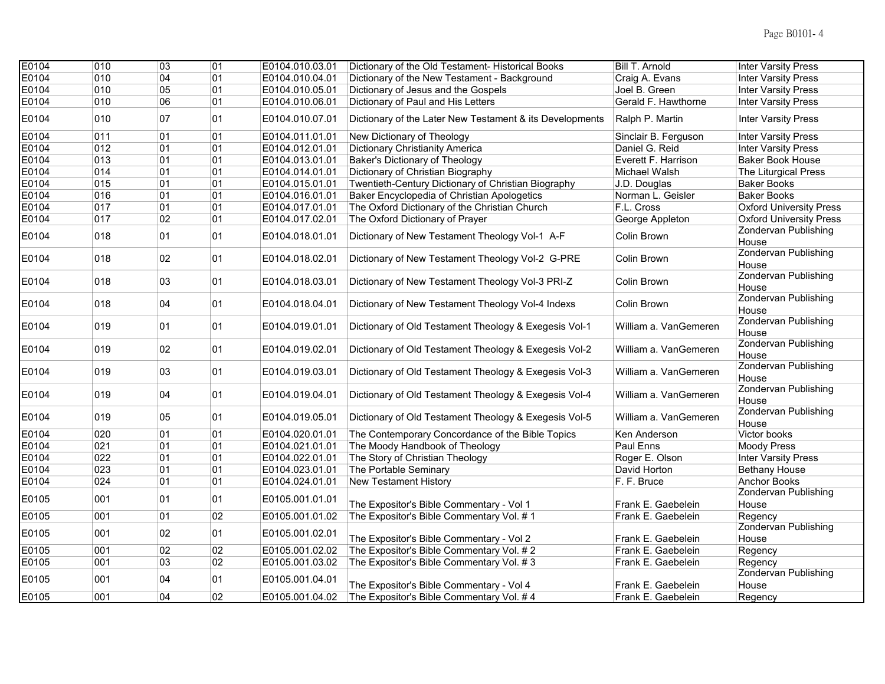| E0104 | 010 | $\overline{03}$ | 01 | E0104.010.03.01 | Dictionary of the Old Testament- Historical Books        | <b>Bill T. Arnold</b> | <b>Inter Varsity Press</b>           |
|-------|-----|-----------------|----|-----------------|----------------------------------------------------------|-----------------------|--------------------------------------|
| E0104 | 010 | 04              | 01 | E0104.010.04.01 | Dictionary of the New Testament - Background             | Craig A. Evans        | <b>Inter Varsity Press</b>           |
| E0104 | 010 | 05              | 01 | E0104.010.05.01 | Dictionary of Jesus and the Gospels                      | Joel B. Green         | <b>Inter Varsity Press</b>           |
| E0104 | 010 | 06              | 01 | E0104.010.06.01 | Dictionary of Paul and His Letters                       | Gerald F. Hawthorne   | <b>Inter Varsity Press</b>           |
| E0104 | 010 | 07              | 01 | E0104.010.07.01 | Dictionary of the Later New Testament & its Developments | Ralph P. Martin       | <b>Inter Varsity Press</b>           |
| E0104 | 011 | 01              | 01 | E0104.011.01.01 | New Dictionary of Theology                               | Sinclair B. Ferguson  | <b>Inter Varsity Press</b>           |
| E0104 | 012 | 01              | 01 | E0104.012.01.01 | <b>Dictionary Christianity America</b>                   | Daniel G. Reid        | <b>Inter Varsity Press</b>           |
| E0104 | 013 | 01              | 01 | E0104.013.01.01 | <b>Baker's Dictionary of Theology</b>                    | Everett F. Harrison   | <b>Baker Book House</b>              |
| E0104 | 014 | 01              | 01 | E0104.014.01.01 | Dictionary of Christian Biography                        | Michael Walsh         | The Liturgical Press                 |
| E0104 | 015 | 01              | 01 | E0104.015.01.01 | Twentieth-Century Dictionary of Christian Biography      | J.D. Douglas          | <b>Baker Books</b>                   |
| E0104 | 016 | 01              | 01 | E0104.016.01.01 | Baker Encyclopedia of Christian Apologetics              | Norman L. Geisler     | <b>Baker Books</b>                   |
| E0104 | 017 | 01              | 01 | E0104.017.01.01 | The Oxford Dictionary of the Christian Church            | F.L. Cross            | <b>Oxford University Press</b>       |
| E0104 | 017 | 02              | 01 | E0104.017.02.01 | The Oxford Dictionary of Prayer                          | George Appleton       | <b>Oxford University Press</b>       |
| E0104 | 018 | 01              | 01 | E0104.018.01.01 | Dictionary of New Testament Theology Vol-1 A-F           | Colin Brown           | Zondervan Publishing<br>House        |
| E0104 | 018 | 02              | 01 | E0104.018.02.01 | Dictionary of New Testament Theology Vol-2 G-PRE         | Colin Brown           | Zondervan Publishing<br>House        |
| E0104 | 018 | 03              | 01 | E0104.018.03.01 | Dictionary of New Testament Theology Vol-3 PRI-Z         | Colin Brown           | Zondervan Publishing<br>House        |
| E0104 | 018 | 04              | 01 | E0104.018.04.01 | Dictionary of New Testament Theology Vol-4 Indexs        | Colin Brown           | Zondervan Publishing<br>House        |
| E0104 | 019 | 01              | 01 | E0104.019.01.01 | Dictionary of Old Testament Theology & Exegesis Vol-1    | William a. VanGemeren | Zondervan Publishing<br>House        |
| E0104 | 019 | 02              | 01 | E0104.019.02.01 | Dictionary of Old Testament Theology & Exegesis Vol-2    | William a. VanGemeren | <b>Zondervan Publishing</b><br>House |
| E0104 | 019 | 03              | 01 | E0104.019.03.01 | Dictionary of Old Testament Theology & Exegesis Vol-3    | William a. VanGemeren | <b>Zondervan Publishing</b><br>House |
| E0104 | 019 | 04              | 01 | E0104.019.04.01 | Dictionary of Old Testament Theology & Exegesis Vol-4    | William a. VanGemeren | <b>Zondervan Publishing</b><br>House |
| E0104 | 019 | 05              | 01 | E0104.019.05.01 | Dictionary of Old Testament Theology & Exegesis Vol-5    | William a. VanGemeren | <b>Zondervan Publishing</b><br>House |
| E0104 | 020 | 01              | 01 | E0104.020.01.01 | The Contemporary Concordance of the Bible Topics         | Ken Anderson          | Victor books                         |
| E0104 | 021 | 01              | 01 | E0104.021.01.01 | The Moody Handbook of Theology                           | Paul Enns             | <b>Moody Press</b>                   |
| E0104 | 022 | 01              | 01 | E0104.022.01.01 | The Story of Christian Theology                          | Roger E. Olson        | <b>Inter Varsity Press</b>           |
| E0104 | 023 | 01              | 01 | E0104.023.01.01 | The Portable Seminary                                    | David Horton          | <b>Bethany House</b>                 |
| E0104 | 024 | 01              | 01 | E0104.024.01.01 | <b>New Testament History</b>                             | F. F. Bruce           | <b>Anchor Books</b>                  |
| E0105 | 001 | 01              | 01 | E0105.001.01.01 | The Expositor's Bible Commentary - Vol 1                 | Frank E. Gaebelein    | <b>Zondervan Publishing</b><br>House |
| E0105 | 001 | 01              | 02 | E0105.001.01.02 | The Expositor's Bible Commentary Vol. # 1                | Frank E. Gaebelein    | Regency                              |
| E0105 | 001 | 02              | 01 | E0105.001.02.01 | The Expositor's Bible Commentary - Vol 2                 | Frank E. Gaebelein    | Zondervan Publishing<br>House        |
| E0105 | 001 | 02              | 02 | E0105.001.02.02 | The Expositor's Bible Commentary Vol. #2                 | Frank E. Gaebelein    | Regency                              |
| E0105 | 001 | 03              | 02 | E0105.001.03.02 | The Expositor's Bible Commentary Vol. #3                 | Frank E. Gaebelein    | Regency                              |
| E0105 | 001 | 04              | 01 | E0105.001.04.01 | The Expositor's Bible Commentary - Vol 4                 | Frank E. Gaebelein    | <b>Zondervan Publishing</b><br>House |
| E0105 | 001 | 04              | 02 | E0105.001.04.02 | The Expositor's Bible Commentary Vol. #4                 | Frank E. Gaebelein    | Regency                              |
|       |     |                 |    |                 |                                                          |                       |                                      |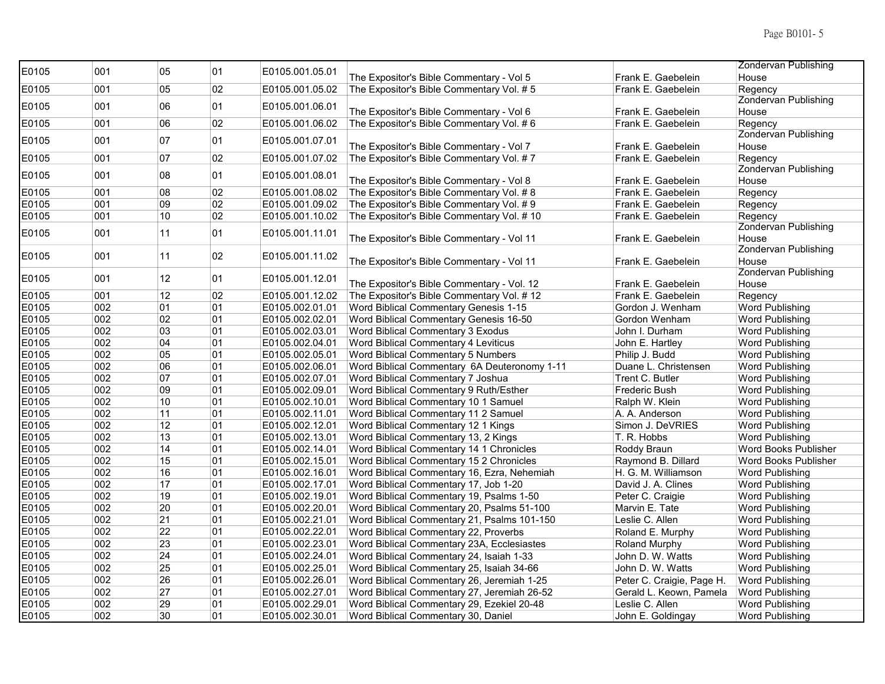| E0105 | 001 | 05              | 01 | E0105.001.05.01 |                                              |                           | Zondervan Publishing          |
|-------|-----|-----------------|----|-----------------|----------------------------------------------|---------------------------|-------------------------------|
|       |     |                 |    |                 | The Expositor's Bible Commentary - Vol 5     | Frank E. Gaebelein        | House                         |
| E0105 | 001 | 05              | 02 | E0105.001.05.02 | The Expositor's Bible Commentary Vol. #5     | Frank E. Gaebelein        | Regency                       |
| E0105 | 001 | 06              | 01 | E0105.001.06.01 |                                              |                           | <b>Zondervan Publishing</b>   |
|       |     |                 |    |                 | The Expositor's Bible Commentary - Vol 6     | Frank E. Gaebelein        | House                         |
| E0105 | 001 | 06              | 02 | E0105.001.06.02 | The Expositor's Bible Commentary Vol. #6     | Frank E. Gaebelein        | Regency                       |
| E0105 | 001 | 07              | 01 | E0105.001.07.01 |                                              |                           | <b>Zondervan Publishing</b>   |
|       |     |                 |    |                 | The Expositor's Bible Commentary - Vol 7     | Frank E. Gaebelein        | House                         |
| E0105 | 001 | 07              | 02 | E0105.001.07.02 | The Expositor's Bible Commentary Vol. #7     | Frank E. Gaebelein        | Regency                       |
| E0105 | 001 | 08              | 01 | E0105.001.08.01 |                                              |                           | <b>Zondervan Publishing</b>   |
|       |     |                 |    |                 | The Expositor's Bible Commentary - Vol 8     | Frank E. Gaebelein        | House                         |
| E0105 | 001 | 08              | 02 | E0105.001.08.02 | The Expositor's Bible Commentary Vol. #8     | Frank E. Gaebelein        | Regency                       |
| E0105 | 001 | 09              | 02 | E0105.001.09.02 | The Expositor's Bible Commentary Vol. #9     | Frank E. Gaebelein        | Regency                       |
| E0105 | 001 | 10              | 02 | E0105.001.10.02 | The Expositor's Bible Commentary Vol. # 10   | Frank E. Gaebelein        | Regency                       |
| E0105 | 001 | 11              | 01 | E0105.001.11.01 |                                              |                           | Zondervan Publishing          |
|       |     |                 |    |                 | The Expositor's Bible Commentary - Vol 11    | Frank E. Gaebelein        | House<br>Zondervan Publishing |
| E0105 | 001 | 11              | 02 | E0105.001.11.02 | The Expositor's Bible Commentary - Vol 11    | Frank E. Gaebelein        | House                         |
|       |     |                 |    |                 |                                              |                           | Zondervan Publishing          |
| E0105 | 001 | 12              | 01 | E0105.001.12.01 | The Expositor's Bible Commentary - Vol. 12   | Frank E. Gaebelein        | House                         |
| E0105 | 001 | 12              | 02 | E0105.001.12.02 | The Expositor's Bible Commentary Vol. #12    | Frank E. Gaebelein        | Regency                       |
| E0105 | 002 | 01              | 01 | E0105.002.01.01 | Word Biblical Commentary Genesis 1-15        | Gordon J. Wenham          | Word Publishing               |
| E0105 | 002 | 02              | 01 | E0105.002.02.01 | Word Biblical Commentary Genesis 16-50       | Gordon Wenham             | Word Publishing               |
| E0105 | 002 | 03              | 01 | E0105.002.03.01 | Word Biblical Commentary 3 Exodus            | John I. Durham            | Word Publishing               |
| E0105 | 002 | 04              | 01 | E0105.002.04.01 | Word Biblical Commentary 4 Leviticus         | John E. Hartley           | Word Publishing               |
| E0105 | 002 | 05              | 01 | E0105.002.05.01 | Word Biblical Commentary 5 Numbers           | Philip J. Budd            | Word Publishing               |
| E0105 | 002 | 06              | 01 | E0105.002.06.01 | Word Biblical Commentary 6A Deuteronomy 1-11 | Duane L. Christensen      | Word Publishing               |
| E0105 | 002 | 07              | 01 | E0105.002.07.01 | Word Biblical Commentary 7 Joshua            | Trent C. Butler           | Word Publishing               |
| E0105 | 002 | 09              | 01 | E0105.002.09.01 | Word Biblical Commentary 9 Ruth/Esther       | Frederic Bush             | Word Publishing               |
| E0105 | 002 | 10              | 01 | E0105.002.10.01 | Word Biblical Commentary 10 1 Samuel         | Ralph W. Klein            | Word Publishing               |
| E0105 | 002 | 11              | 01 | E0105.002.11.01 | Word Biblical Commentary 11 2 Samuel         | A. A. Anderson            | Word Publishing               |
| E0105 | 002 | 12              | 01 | E0105.002.12.01 | Word Biblical Commentary 12 1 Kings          | Simon J. DeVRIES          | Word Publishing               |
| E0105 | 002 | 13              | 01 | E0105.002.13.01 | Word Biblical Commentary 13, 2 Kings         | T. R. Hobbs               | Word Publishing               |
| E0105 | 002 | 14              | 01 | E0105.002.14.01 | Word Biblical Commentary 14 1 Chronicles     | Roddy Braun               | Word Books Publisher          |
| E0105 | 002 | 15              | 01 | E0105.002.15.01 | Word Biblical Commentary 15 2 Chronicles     | Raymond B. Dillard        | Word Books Publisher          |
| E0105 | 002 | 16              | 01 | E0105.002.16.01 | Word Biblical Commentary 16, Ezra, Nehemiah  | H. G. M. Williamson       | <b>Word Publishing</b>        |
| E0105 | 002 | 17              | 01 | E0105.002.17.01 | Word Biblical Commentary 17, Job 1-20        | David J. A. Clines        | Word Publishing               |
| E0105 | 002 | 19              | 01 | E0105.002.19.01 | Word Biblical Commentary 19, Psalms 1-50     | Peter C. Craigie          | Word Publishing               |
| E0105 | 002 | $\overline{20}$ | 01 | E0105.002.20.01 | Word Biblical Commentary 20, Psalms 51-100   | Marvin E. Tate            | Word Publishing               |
| E0105 | 002 | $\overline{21}$ | 01 | E0105.002.21.01 | Word Biblical Commentary 21, Psalms 101-150  | Leslie C. Allen           | Word Publishing               |
| E0105 | 002 | 22              | 01 | E0105.002.22.01 | Word Biblical Commentary 22, Proverbs        | Roland E. Murphy          | Word Publishing               |
| E0105 | 002 | 23              | 01 | E0105.002.23.01 | Word Biblical Commentary 23A, Ecclesiastes   | <b>Roland Murphy</b>      | Word Publishing               |
| E0105 | 002 | 24              | 01 | E0105.002.24.01 | Word Biblical Commentary 24, Isaiah 1-33     | John D. W. Watts          | Word Publishing               |
| E0105 | 002 | 25              | 01 | E0105.002.25.01 | Word Biblical Commentary 25, Isaiah 34-66    | John D. W. Watts          | Word Publishing               |
| E0105 | 002 | 26              | 01 | E0105.002.26.01 | Word Biblical Commentary 26, Jeremiah 1-25   | Peter C. Craigie, Page H. | <b>Word Publishing</b>        |
| E0105 | 002 | 27              | 01 | E0105.002.27.01 | Word Biblical Commentary 27, Jeremiah 26-52  | Gerald L. Keown, Pamela   | <b>Word Publishing</b>        |
| E0105 | 002 | 29              | 01 | E0105.002.29.01 | Word Biblical Commentary 29, Ezekiel 20-48   | Leslie C. Allen           | Word Publishing               |
| E0105 | 002 | 30              | 01 | E0105.002.30.01 | Word Biblical Commentary 30, Daniel          | John E. Goldingay         | <b>Word Publishing</b>        |
|       |     |                 |    |                 |                                              |                           |                               |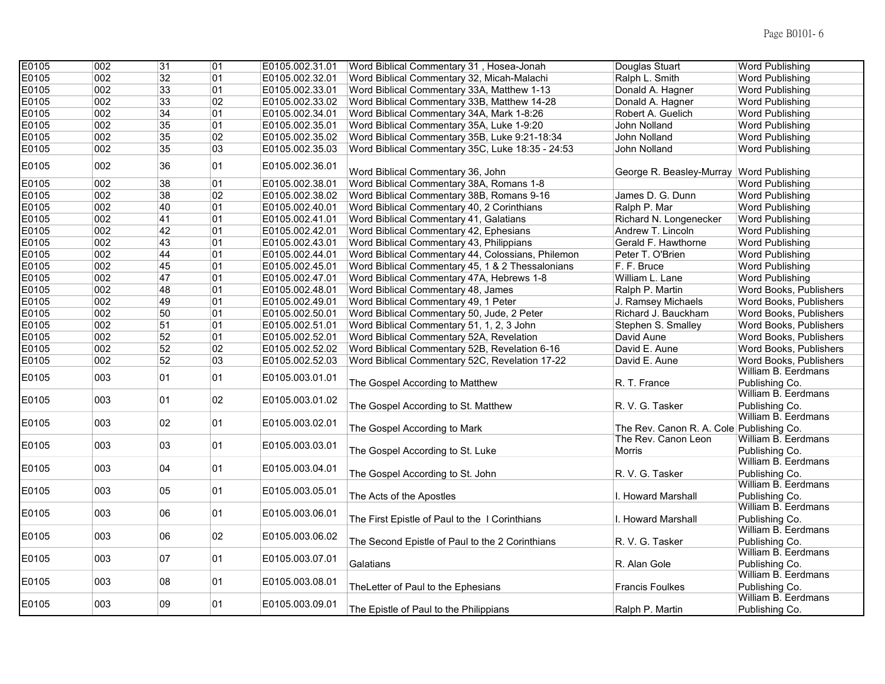| E0105 | 002 | 31 | 01 | E0105.002.31.01 | Word Biblical Commentary 31, Hosea-Jonah                    | Douglas Stuart                           | <b>Word Publishing</b>                |
|-------|-----|----|----|-----------------|-------------------------------------------------------------|------------------------------------------|---------------------------------------|
| E0105 | 002 | 32 | 01 | E0105.002.32.01 | Word Biblical Commentary 32, Micah-Malachi                  | Ralph L. Smith                           | <b>Word Publishing</b>                |
| E0105 | 002 | 33 | 01 | E0105.002.33.01 | Word Biblical Commentary 33A, Matthew 1-13                  | Donald A. Hagner                         | Word Publishing                       |
| E0105 | 002 | 33 | 02 |                 | E0105.002.33.02 Word Biblical Commentary 33B, Matthew 14-28 | Donald A. Hagner                         | Word Publishing                       |
| E0105 | 002 | 34 | 01 | E0105.002.34.01 | Word Biblical Commentary 34A, Mark 1-8:26                   | Robert A. Guelich                        | <b>Word Publishing</b>                |
| E0105 | 002 | 35 | 01 | E0105.002.35.01 | Word Biblical Commentary 35A, Luke 1-9:20                   | John Nolland                             | <b>Word Publishing</b>                |
| E0105 | 002 | 35 | 02 | E0105.002.35.02 | Word Biblical Commentary 35B, Luke 9:21-18:34               | John Nolland                             | <b>Word Publishing</b>                |
| E0105 | 002 | 35 | 03 | E0105.002.35.03 | Word Biblical Commentary 35C, Luke 18:35 - 24:53            | John Nolland                             | Word Publishing                       |
| E0105 | 002 | 36 | 01 | E0105.002.36.01 | Word Biblical Commentary 36, John                           | George R. Beasley-Murray Word Publishing |                                       |
| E0105 | 002 | 38 | 01 | E0105.002.38.01 | Word Biblical Commentary 38A, Romans 1-8                    |                                          | <b>Word Publishing</b>                |
| E0105 | 002 | 38 | 02 | E0105.002.38.02 | Word Biblical Commentary 38B, Romans 9-16                   | James D. G. Dunn                         | <b>Word Publishing</b>                |
| E0105 | 002 | 40 | 01 | E0105.002.40.01 | Word Biblical Commentary 40, 2 Corinthians                  | Ralph P. Mar                             | <b>Word Publishing</b>                |
| E0105 | 002 | 41 | 01 | E0105.002.41.01 | Word Biblical Commentary 41, Galatians                      | Richard N. Longenecker                   | Word Publishing                       |
| E0105 | 002 | 42 | 01 | E0105.002.42.01 | Word Biblical Commentary 42, Ephesians                      | Andrew T. Lincoln                        | <b>Word Publishing</b>                |
| E0105 | 002 | 43 | 01 | E0105.002.43.01 | Word Biblical Commentary 43, Philippians                    | Gerald F. Hawthorne                      | <b>Word Publishing</b>                |
| E0105 | 002 | 44 | 01 | E0105.002.44.01 | Word Biblical Commentary 44, Colossians, Philemon           | Peter T. O'Brien                         | <b>Word Publishing</b>                |
| E0105 | 002 | 45 | 01 | E0105.002.45.01 | Word Biblical Commentary 45, 1 & 2 Thessalonians            | F. F. Bruce                              | <b>Word Publishing</b>                |
| E0105 | 002 | 47 | 01 | E0105.002.47.01 | Word Biblical Commentary 47A, Hebrews 1-8                   | William L. Lane                          | <b>Word Publishing</b>                |
| E0105 | 002 | 48 | 01 | E0105.002.48.01 | Word Biblical Commentary 48, James                          | Ralph P. Martin                          | Word Books, Publishers                |
| E0105 | 002 | 49 | 01 | E0105.002.49.01 | Word Biblical Commentary 49, 1 Peter                        | J. Ramsey Michaels                       | Word Books, Publishers                |
| E0105 | 002 | 50 | 01 | E0105.002.50.01 | Word Biblical Commentary 50, Jude, 2 Peter                  | Richard J. Bauckham                      | Word Books, Publishers                |
| E0105 | 002 | 51 | 01 | E0105.002.51.01 | Word Biblical Commentary 51, 1, 2, 3 John                   | Stephen S. Smalley                       | Word Books, Publishers                |
| E0105 | 002 | 52 | 01 | E0105.002.52.01 | Word Biblical Commentary 52A, Revelation                    | David Aune                               | Word Books, Publishers                |
| E0105 | 002 | 52 | 02 | E0105.002.52.02 | Word Biblical Commentary 52B, Revelation 6-16               | David E. Aune                            | Word Books, Publishers                |
| E0105 | 002 | 52 | 03 | E0105.002.52.03 | Word Biblical Commentary 52C, Revelation 17-22              | David E. Aune                            | Word Books, Publishers                |
|       |     |    |    |                 |                                                             |                                          | William B. Eerdmans                   |
| E0105 | 003 | 01 | 01 | E0105.003.01.01 | The Gospel According to Matthew                             | R. T. France                             | Publishing Co.                        |
| E0105 | 003 | 01 | 02 | E0105.003.01.02 | The Gospel According to St. Matthew                         | R. V. G. Tasker                          | William B. Eerdmans<br>Publishing Co. |
| E0105 | 003 | 02 | 01 | E0105.003.02.01 | The Gospel According to Mark                                | The Rev. Canon R. A. Cole Publishing Co. | William B. Eerdmans                   |
| E0105 | 003 | 03 | 01 | E0105.003.03.01 |                                                             | The Rev. Canon Leon                      | William B. Eerdmans                   |
|       |     |    |    |                 | The Gospel According to St. Luke                            | Morris                                   | Publishing Co.                        |
| E0105 | 003 | 04 | 01 | E0105.003.04.01 | The Gospel According to St. John                            | R. V. G. Tasker                          | William B. Eerdmans<br>Publishing Co. |
| E0105 | 003 | 05 | 01 | E0105.003.05.01 | The Acts of the Apostles                                    | I. Howard Marshall                       | William B. Eerdmans<br>Publishing Co. |
| E0105 | 003 | 06 | 01 | E0105.003.06.01 |                                                             |                                          | William B. Eerdmans<br>Publishing Co. |
|       |     |    |    |                 | The First Epistle of Paul to the I Corinthians              | I. Howard Marshall                       | William B. Eerdmans                   |
| E0105 | 003 | 06 | 02 | E0105.003.06.02 | The Second Epistle of Paul to the 2 Corinthians             | R. V. G. Tasker                          | Publishing Co.                        |
| E0105 | 003 | 07 | 01 | E0105.003.07.01 | Galatians                                                   | R. Alan Gole                             | William B. Eerdmans<br>Publishing Co. |
|       |     |    | 01 |                 |                                                             |                                          | William B. Eerdmans                   |
| E0105 | 003 | 08 |    | E0105.003.08.01 | The Letter of Paul to the Ephesians                         | <b>Francis Foulkes</b>                   | Publishing Co.                        |
| E0105 | 003 | 09 | 01 | E0105.003.09.01 |                                                             |                                          | William B. Eerdmans                   |
|       |     |    |    |                 | The Epistle of Paul to the Philippians                      | Ralph P. Martin                          | Publishing Co.                        |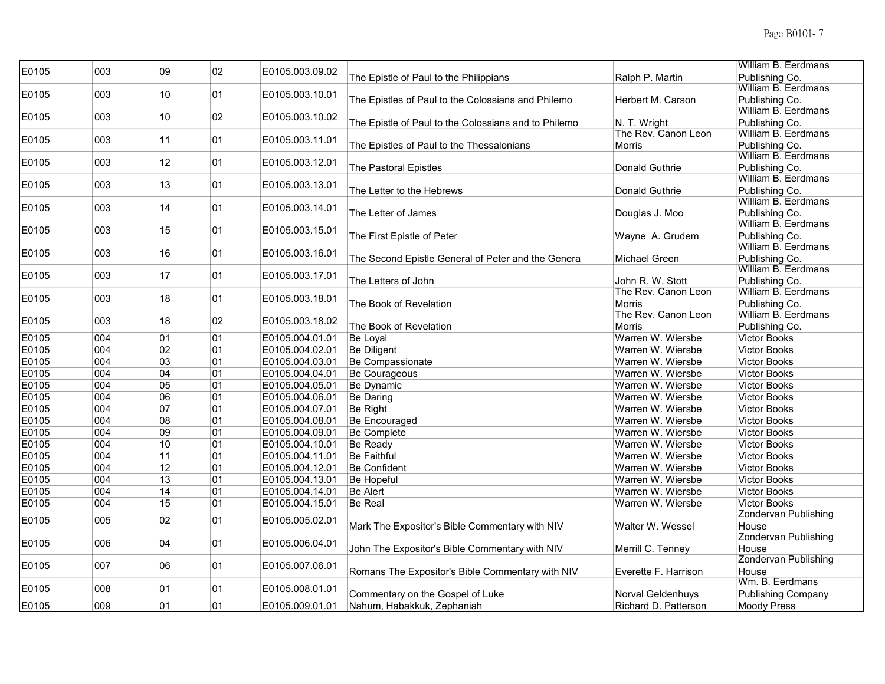| E0105 | 003 | 09 | 02 | E0105.003.09.02 |                                                      |                          | William B. Eerdmans                   |
|-------|-----|----|----|-----------------|------------------------------------------------------|--------------------------|---------------------------------------|
|       |     |    |    |                 | The Epistle of Paul to the Philippians               | Ralph P. Martin          | Publishing Co.                        |
| E0105 | 003 | 10 | 01 | E0105.003.10.01 |                                                      |                          | William B. Eerdmans                   |
|       |     |    |    |                 | The Epistles of Paul to the Colossians and Philemo   | Herbert M. Carson        | Publishing Co.                        |
| E0105 | 003 | 10 | 02 | E0105.003.10.02 |                                                      |                          | William B. Eerdmans                   |
|       |     |    |    |                 | The Epistle of Paul to the Colossians and to Philemo | N. T. Wright             | Publishing Co.                        |
| E0105 | 003 | 11 | 01 | E0105.003.11.01 |                                                      | The Rev. Canon Leon      | William B. Eerdmans                   |
|       |     |    |    |                 | The Epistles of Paul to the Thessalonians            | <b>Morris</b>            | Publishing Co.                        |
| E0105 | 003 | 12 | 01 | E0105.003.12.01 |                                                      |                          | William B. Eerdmans                   |
|       |     |    |    |                 | The Pastoral Epistles                                | Donald Guthrie           | Publishing Co.<br>William B. Eerdmans |
| E0105 | 003 | 13 | 01 | E0105.003.13.01 | The Letter to the Hebrews                            | Donald Guthrie           | Publishing Co.                        |
|       |     |    |    |                 |                                                      |                          | William B. Eerdmans                   |
| E0105 | 003 | 14 | 01 | E0105.003.14.01 | The Letter of James                                  | Douglas J. Moo           | Publishing Co.                        |
|       |     |    |    |                 |                                                      |                          | William B. Eerdmans                   |
| E0105 | 003 | 15 | 01 | E0105.003.15.01 | The First Epistle of Peter                           | Wayne A. Grudem          | Publishing Co.                        |
|       |     |    |    |                 |                                                      |                          | William B. Eerdmans                   |
| E0105 | 003 | 16 | 01 | E0105.003.16.01 | The Second Epistle General of Peter and the Genera   | Michael Green            | Publishing Co.                        |
|       |     |    |    |                 |                                                      |                          | William B. Eerdmans                   |
| E0105 | 003 | 17 | 01 | E0105.003.17.01 | The Letters of John                                  | John R. W. Stott         | Publishing Co.                        |
|       |     |    |    |                 |                                                      | The Rev. Canon Leon      | William B. Eerdmans                   |
| E0105 | 003 | 18 | 01 | E0105.003.18.01 | The Book of Revelation                               | <b>Morris</b>            | Publishing Co.                        |
|       |     |    | 02 |                 |                                                      | The Rev. Canon Leon      | William B. Eerdmans                   |
| E0105 | 003 | 18 |    | E0105.003.18.02 | The Book of Revelation                               | <b>Morris</b>            | Publishing Co.                        |
| E0105 | 004 | 01 | 01 | E0105.004.01.01 | Be Loyal                                             | Warren W. Wiersbe        | <b>Victor Books</b>                   |
| E0105 | 004 | 02 | 01 | E0105.004.02.01 | <b>Be Diligent</b>                                   | Warren W. Wiersbe        | <b>Victor Books</b>                   |
| E0105 | 004 | 03 | 01 | E0105.004.03.01 | Be Compassionate                                     | Warren W. Wiersbe        | <b>Victor Books</b>                   |
| E0105 | 004 | 04 | 01 | E0105.004.04.01 | Be Courageous                                        | Warren W. Wiersbe        | <b>Victor Books</b>                   |
| E0105 | 004 | 05 | 01 | E0105.004.05.01 | Be Dynamic                                           | Warren W. Wiersbe        | <b>Victor Books</b>                   |
| E0105 | 004 | 06 | 01 | E0105.004.06.01 | <b>Be Daring</b>                                     | Warren W. Wiersbe        | <b>Victor Books</b>                   |
| E0105 | 004 | 07 | 01 | E0105.004.07.01 | Be Right                                             | Warren W. Wiersbe        | <b>Victor Books</b>                   |
| E0105 | 004 | 08 | 01 | E0105.004.08.01 | Be Encouraged                                        | Warren W. Wiersbe        | <b>Victor Books</b>                   |
| E0105 | 004 | 09 | 01 | E0105.004.09.01 | <b>Be Complete</b>                                   | Warren W. Wiersbe        | <b>Victor Books</b>                   |
| E0105 | 004 | 10 | 01 | E0105.004.10.01 | <b>Be Ready</b>                                      | Warren W. Wiersbe        | <b>Victor Books</b>                   |
| E0105 | 004 | 11 | 01 | E0105.004.11.01 | <b>Be Faithful</b>                                   | Warren W. Wiersbe        | <b>Victor Books</b>                   |
| E0105 | 004 | 12 | 01 | E0105.004.12.01 | <b>Be Confident</b>                                  | Warren W. Wiersbe        | <b>Victor Books</b>                   |
| E0105 | 004 | 13 | 01 | E0105.004.13.01 | Be Hopeful                                           | Warren W. Wiersbe        | <b>Victor Books</b>                   |
| E0105 | 004 | 14 | 01 | E0105.004.14.01 | <b>Be Alert</b>                                      | Warren W. Wiersbe        | <b>Victor Books</b>                   |
| E0105 | 004 | 15 | 01 | E0105.004.15.01 | Be Real                                              | Warren W. Wiersbe        | <b>Victor Books</b>                   |
|       |     |    |    |                 |                                                      |                          | <b>Zondervan Publishing</b>           |
| E0105 | 005 | 02 | 01 | E0105.005.02.01 | Mark The Expositor's Bible Commentary with NIV       | Walter W. Wessel         | House                                 |
|       |     |    |    |                 |                                                      |                          | <b>Zondervan Publishing</b>           |
| E0105 | 006 | 04 | 01 | E0105.006.04.01 | John The Expositor's Bible Commentary with NIV       | Merrill C. Tenney        | House                                 |
| E0105 | 007 | 06 | 01 |                 |                                                      |                          | <b>Zondervan Publishing</b>           |
|       |     |    |    | E0105.007.06.01 | Romans The Expositor's Bible Commentary with NIV     | Everette F. Harrison     | House                                 |
| E0105 | 008 | 01 | 01 | E0105.008.01.01 |                                                      |                          | Wm. B. Eerdmans                       |
|       |     |    |    |                 | Commentary on the Gospel of Luke                     | <b>Norval Geldenhuys</b> | <b>Publishing Company</b>             |
| E0105 | 009 | 01 | 01 | E0105.009.01.01 | Nahum, Habakkuk, Zephaniah                           | Richard D. Patterson     | <b>Moody Press</b>                    |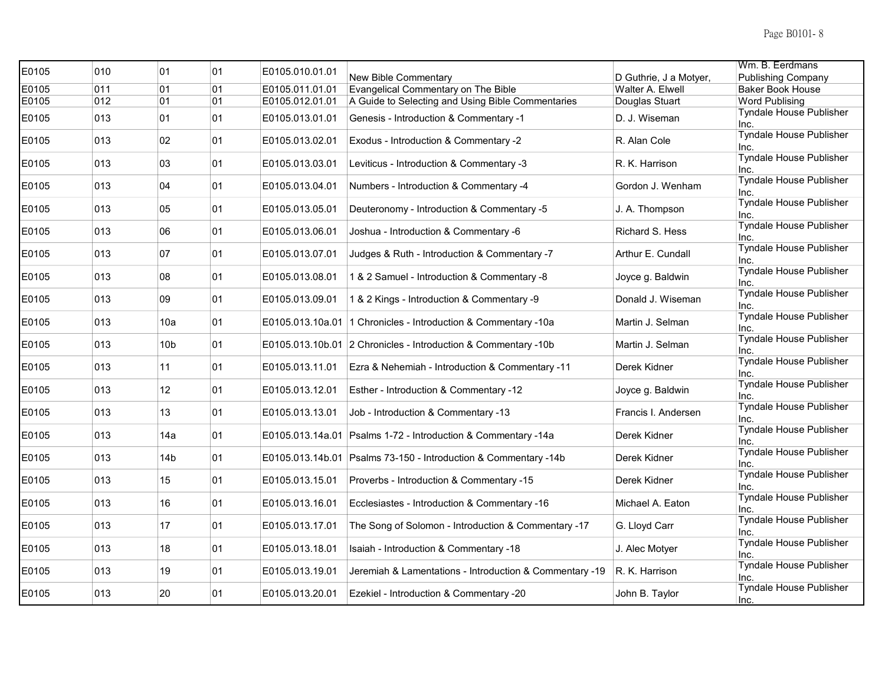| E0105 | 010 | 01              | 01 | E0105.010.01.01 |                                                                  |                        | Wm. B. Eerdmans                        |
|-------|-----|-----------------|----|-----------------|------------------------------------------------------------------|------------------------|----------------------------------------|
|       |     |                 |    |                 | New Bible Commentary                                             | D Guthrie, J a Motyer, | <b>Publishing Company</b>              |
| E0105 | 011 | 01              | 01 | E0105.011.01.01 | Evangelical Commentary on The Bible                              | Walter A. Elwell       | <b>Baker Book House</b>                |
| E0105 | 012 | 01              | 01 | E0105.012.01.01 | A Guide to Selecting and Using Bible Commentaries                | Douglas Stuart         | <b>Word Publising</b>                  |
| E0105 | 013 | 01              | 01 | E0105.013.01.01 | Genesis - Introduction & Commentary -1                           | D. J. Wiseman          | <b>Tyndale House Publisher</b><br>Inc. |
| E0105 | 013 | 02              | 01 | E0105.013.02.01 | Exodus - Introduction & Commentary -2                            | R. Alan Cole           | Tyndale House Publisher<br>Inc.        |
| E0105 | 013 | 03              | 01 | E0105.013.03.01 | Leviticus - Introduction & Commentary -3                         | R. K. Harrison         | Tyndale House Publisher<br>Inc.        |
| E0105 | 013 | 04              | 01 | E0105.013.04.01 | Numbers - Introduction & Commentary -4                           | Gordon J. Wenham       | <b>Tyndale House Publisher</b><br>Inc. |
| E0105 | 013 | 05              | 01 | E0105.013.05.01 | Deuteronomy - Introduction & Commentary -5                       | J. A. Thompson         | <b>Tyndale House Publisher</b><br>Inc. |
| E0105 | 013 | 06              | 01 | E0105.013.06.01 | Joshua - Introduction & Commentary -6                            | Richard S. Hess        | <b>Tyndale House Publisher</b><br>Inc. |
| E0105 | 013 | 07              | 01 | E0105.013.07.01 | Judges & Ruth - Introduction & Commentary -7                     | Arthur E. Cundall      | Tyndale House Publisher<br>Inc.        |
| E0105 | 013 | 08              | 01 | E0105.013.08.01 | 1 & 2 Samuel - Introduction & Commentary -8                      | Joyce g. Baldwin       | <b>Tyndale House Publisher</b><br>Inc. |
| E0105 | 013 | 09              | 01 | E0105.013.09.01 | 1 & 2 Kings - Introduction & Commentary -9                       | Donald J. Wiseman      | Tyndale House Publisher<br>Inc.        |
| E0105 | 013 | 10a             | 01 |                 | E0105.013.10a.01   1 Chronicles - Introduction & Commentary -10a | Martin J. Selman       | Tyndale House Publisher<br>Inc.        |
| E0105 | 013 | 10 <sub>b</sub> | 01 |                 | E0105.013.10b.01 2 Chronicles - Introduction & Commentary -10b   | Martin J. Selman       | Tyndale House Publisher<br>Inc.        |
| E0105 | 013 | 11              | 01 | E0105.013.11.01 | Ezra & Nehemiah - Introduction & Commentary -11                  | Derek Kidner           | Tyndale House Publisher<br>Inc.        |
| E0105 | 013 | 12 <sup>2</sup> | 01 | E0105.013.12.01 | Esther - Introduction & Commentary -12                           | Joyce g. Baldwin       | Tyndale House Publisher<br>Inc.        |
| E0105 | 013 | 13              | 01 | E0105.013.13.01 | Job - Introduction & Commentary -13                              | Francis I. Andersen    | Tyndale House Publisher<br>Inc.        |
| E0105 | 013 | 14a             | 01 |                 | E0105.013.14a.01 Psalms 1-72 - Introduction & Commentary -14a    | Derek Kidner           | <b>Tyndale House Publisher</b><br>Inc. |
| E0105 | 013 | 14 <sub>b</sub> | 01 |                 | E0105.013.14b.01 Psalms 73-150 - Introduction & Commentary -14b  | Derek Kidner           | Tyndale House Publisher<br>Inc.        |
| E0105 | 013 | 15              | 01 | E0105.013.15.01 | Proverbs - Introduction & Commentary -15                         | Derek Kidner           | <b>Tyndale House Publisher</b><br>Inc. |
| E0105 | 013 | 16              | 01 | E0105.013.16.01 | Ecclesiastes - Introduction & Commentary -16                     | Michael A. Eaton       | Tyndale House Publisher<br>Inc.        |
| E0105 | 013 | 17              | 01 | E0105.013.17.01 | The Song of Solomon - Introduction & Commentary -17              | G. Lloyd Carr          | Tyndale House Publisher<br>Inc.        |
| E0105 | 013 | 18              | 01 | E0105.013.18.01 | Isaiah - Introduction & Commentary -18                           | J. Alec Motyer         | <b>Tyndale House Publisher</b><br>Inc. |
| E0105 | 013 | 19              | 01 | E0105.013.19.01 | Jeremiah & Lamentations - Introduction & Commentary -19          | R. K. Harrison         | Tyndale House Publisher<br>Inc.        |
| E0105 | 013 | 20              | 01 | E0105.013.20.01 | Ezekiel - Introduction & Commentary -20                          | John B. Taylor         | <b>Tyndale House Publisher</b><br>Inc. |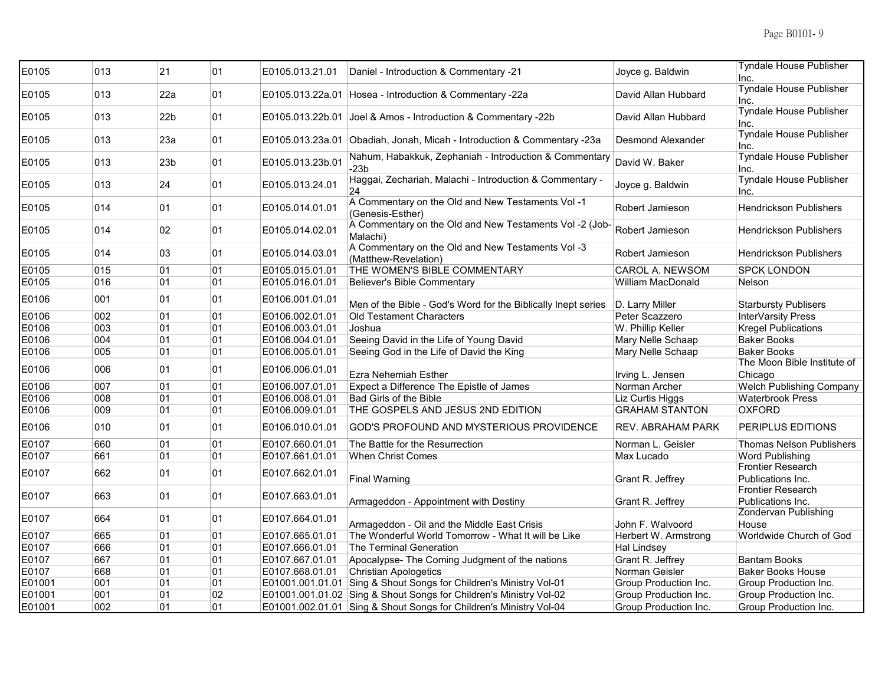| E0105  | 013 | 21              | 01 | E0105.013.21.01  | Daniel - Introduction & Commentary -21                                    | Joyce g. Baldwin         | <b>Tyndale House Publisher</b><br>Inc.        |
|--------|-----|-----------------|----|------------------|---------------------------------------------------------------------------|--------------------------|-----------------------------------------------|
| E0105  | 013 | 22a             | 01 |                  | E0105.013.22a.01 Hosea - Introduction & Commentary -22a                   | David Allan Hubbard      | Tyndale House Publisher<br>Inc.               |
| E0105  | 013 | 22 <sub>b</sub> | 01 | E0105.013.22b.01 | Joel & Amos - Introduction & Commentary -22b                              | David Allan Hubbard      | <b>Tyndale House Publisher</b><br>Inc.        |
| E0105  | 013 | 23a             | 01 |                  | E0105.013.23a.01 Obadiah, Jonah, Micah - Introduction & Commentary -23a   | <b>Desmond Alexander</b> | <b>Tyndale House Publisher</b><br>Inc.        |
| E0105  | 013 | 23 <sub>b</sub> | 01 | E0105.013.23b.01 | Nahum, Habakkuk, Zephaniah - Introduction & Commentary<br>$-23b$          | David W. Baker           | <b>Tyndale House Publisher</b><br>Inc.        |
| E0105  | 013 | 24              | 01 | E0105.013.24.01  | Haggai, Zechariah, Malachi - Introduction & Commentary -<br>24            | Joyce g. Baldwin         | Tyndale House Publisher<br>Inc.               |
| E0105  | 014 | 01              | 01 | E0105.014.01.01  | A Commentary on the Old and New Testaments Vol -1<br>(Genesis-Esther)     | Robert Jamieson          | Hendrickson Publishers                        |
| E0105  | 014 | 02              | 01 | E0105.014.02.01  | A Commentary on the Old and New Testaments Vol -2 (Job-<br>Malachi)       | Robert Jamieson          | <b>Hendrickson Publishers</b>                 |
| E0105  | 014 | 03              | 01 | E0105.014.03.01  | A Commentary on the Old and New Testaments Vol -3<br>(Matthew-Revelation) | Robert Jamieson          | <b>Hendrickson Publishers</b>                 |
| E0105  | 015 | 01              | 01 | E0105.015.01.01  | THE WOMEN'S BIBLE COMMENTARY                                              | CAROL A. NEWSOM          | <b>SPCK LONDON</b>                            |
| E0105  | 016 | 01              | 01 | E0105.016.01.01  | <b>Believer's Bible Commentary</b>                                        | William MacDonald        | Nelson                                        |
| E0106  | 001 | 01              | 01 | E0106.001.01.01  | Men of the Bible - God's Word for the Biblically Inept series             | D. Larry Miller          | <b>Starbursty Publisers</b>                   |
| E0106  | 002 | 01              | 01 | E0106.002.01.01  | <b>Old Testament Characters</b>                                           | Peter Scazzero           | InterVarsity Press                            |
| E0106  | 003 | 01              | 01 | E0106.003.01.01  | Joshua                                                                    | W. Phillip Keller        | <b>Kregel Publications</b>                    |
| E0106  | 004 | 01              | 01 | E0106.004.01.01  | Seeing David in the Life of Young David                                   | Mary Nelle Schaap        | <b>Baker Books</b>                            |
| E0106  | 005 | 01              | 01 | E0106.005.01.01  | Seeing God in the Life of David the King                                  | Mary Nelle Schaap        | <b>Baker Books</b>                            |
| E0106  | 006 | 01              | 01 | E0106.006.01.01  | Ezra Nehemiah Esther                                                      | Irving L. Jensen         | The Moon Bible Institute of<br>Chicago        |
| E0106  | 007 | 01              | 01 | E0106.007.01.01  | Expect a Difference The Epistle of James                                  | Norman Archer            | Welch Publishing Company                      |
| E0106  | 008 | 01              | 01 | E0106.008.01.01  | <b>Bad Girls of the Bible</b>                                             | Liz Curtis Higgs         | Waterbrook Press                              |
| E0106  | 009 | 01              | 01 | E0106.009.01.01  | THE GOSPELS AND JESUS 2ND EDITION                                         | <b>GRAHAM STANTON</b>    | <b>OXFORD</b>                                 |
| E0106  | 010 | 01              | 01 | E0106.010.01.01  | GOD'S PROFOUND AND MYSTERIOUS PROVIDENCE                                  | <b>REV. ABRAHAM PARK</b> | PERIPLUS EDITIONS                             |
| E0107  | 660 | 01              | 01 | E0107.660.01.01  | The Battle for the Resurrection                                           | Norman L. Geisler        | Thomas Nelson Publishers                      |
| E0107  | 661 | 01              | 01 | E0107.661.01.01  | <b>When Christ Comes</b>                                                  | Max Lucado               | Word Publishing                               |
|        |     |                 |    |                  |                                                                           |                          | <b>Frontier Research</b>                      |
| E0107  | 662 | 01              | 01 | E0107.662.01.01  | Final Warning                                                             | Grant R. Jeffrey         | Publications Inc.                             |
| E0107  | 663 | 01              | 01 | E0107.663.01.01  | Armageddon - Appointment with Destiny                                     | Grant R. Jeffrey         | <b>Frontier Research</b><br>Publications Inc. |
| E0107  | 664 | 01              | 01 | E0107.664.01.01  | Armageddon - Oil and the Middle East Crisis                               | John F. Walvoord         | Zondervan Publishing<br>House                 |
| E0107  | 665 | 01              | 01 | E0107.665.01.01  | The Wonderful World Tomorrow - What It will be Like                       | Herbert W. Armstrong     | Worldwide Church of God                       |
| E0107  | 666 | 01              | 01 | E0107.666.01.01  | The Terminal Generation                                                   | <b>Hal Lindsey</b>       |                                               |
| E0107  | 667 | 01              | 01 | E0107.667.01.01  | Apocalypse- The Coming Judgment of the nations                            | Grant R. Jeffrey         | Bantam Books                                  |
| E0107  | 668 | 01              | 01 | E0107.668.01.01  | <b>Christian Apologetics</b>                                              | Norman Geisler           | <b>Baker Books House</b>                      |
| E01001 | 001 | 01              | 01 |                  | E01001.001.01.01 Sing & Shout Songs for Children's Ministry Vol-01        | Group Production Inc.    | Group Production Inc.                         |
| E01001 | 001 | 01              | 02 |                  | E01001.001.01.02 Sing & Shout Songs for Children's Ministry Vol-02        | Group Production Inc.    | Group Production Inc.                         |
| E01001 | 002 | 01              | 01 |                  | E01001.002.01.01 Sing & Shout Songs for Children's Ministry Vol-04        | Group Production Inc.    | Group Production Inc.                         |
|        |     |                 |    |                  |                                                                           |                          |                                               |